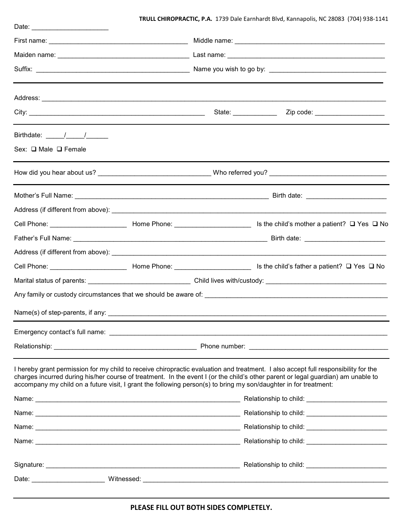## **TRULL CHIROPRACTIC, P.A.** 1739 Dale Earnhardt Blvd, Kannapolis, NC 28083 (704) 938-1141

|                                                                                                                                                                                                                                                                                                                                                                                            | State: _____________ | Zip code: _____________________ |
|--------------------------------------------------------------------------------------------------------------------------------------------------------------------------------------------------------------------------------------------------------------------------------------------------------------------------------------------------------------------------------------------|----------------------|---------------------------------|
|                                                                                                                                                                                                                                                                                                                                                                                            |                      |                                 |
| Sex: □ Male □ Female                                                                                                                                                                                                                                                                                                                                                                       |                      |                                 |
|                                                                                                                                                                                                                                                                                                                                                                                            |                      |                                 |
|                                                                                                                                                                                                                                                                                                                                                                                            |                      |                                 |
|                                                                                                                                                                                                                                                                                                                                                                                            |                      |                                 |
|                                                                                                                                                                                                                                                                                                                                                                                            |                      |                                 |
|                                                                                                                                                                                                                                                                                                                                                                                            |                      |                                 |
|                                                                                                                                                                                                                                                                                                                                                                                            |                      |                                 |
|                                                                                                                                                                                                                                                                                                                                                                                            |                      |                                 |
| Marital status of parents: ___________________________________Child lives with/custody: _______________________                                                                                                                                                                                                                                                                            |                      |                                 |
|                                                                                                                                                                                                                                                                                                                                                                                            |                      |                                 |
|                                                                                                                                                                                                                                                                                                                                                                                            |                      |                                 |
|                                                                                                                                                                                                                                                                                                                                                                                            |                      |                                 |
|                                                                                                                                                                                                                                                                                                                                                                                            |                      |                                 |
| I hereby grant permission for my child to receive chiropractic evaluation and treatment. I also accept full responsibility for the<br>charges incurred during his/her course of treatment. In the event I (or the child's other parent or legal guardian) am unable to<br>accompany my child on a future visit, I grant the following person(s) to bring my son/daughter in for treatment: |                      |                                 |
|                                                                                                                                                                                                                                                                                                                                                                                            |                      |                                 |
|                                                                                                                                                                                                                                                                                                                                                                                            |                      |                                 |
|                                                                                                                                                                                                                                                                                                                                                                                            |                      |                                 |
|                                                                                                                                                                                                                                                                                                                                                                                            |                      |                                 |
|                                                                                                                                                                                                                                                                                                                                                                                            |                      |                                 |
|                                                                                                                                                                                                                                                                                                                                                                                            |                      |                                 |